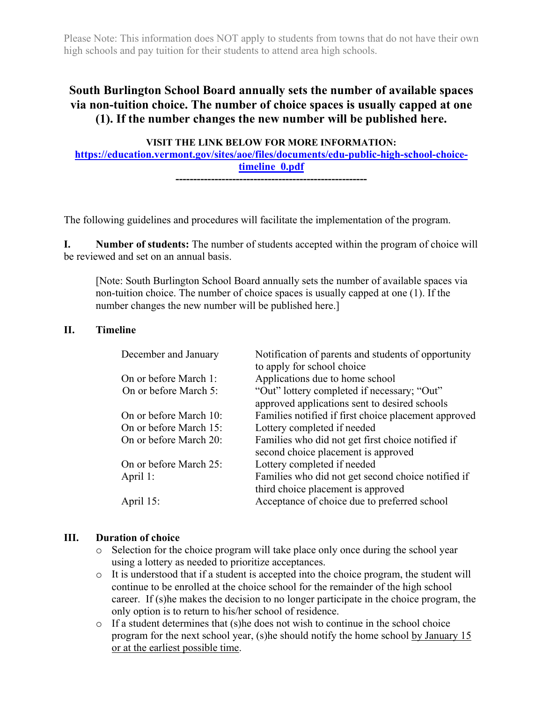Please Note: This information does NOT apply to students from towns that do not have their own high schools and pay tuition for their students to attend area high schools.

# **South Burlington School Board annually sets the number of available spaces via non-tuition choice. The number of choice spaces is usually capped at one (1). If the number changes the new number will be published here.**

**VISIT THE LINK BELOW FOR MORE INFORMATION: [https://education.vermont.gov/sites/aoe/files/documents/edu-public-high-school-choice](https://education.vermont.gov/sites/aoe/files/documents/edu-public-high-school-choice-timeline_0.pdf)[timeline\\_0.pdf](https://education.vermont.gov/sites/aoe/files/documents/edu-public-high-school-choice-timeline_0.pdf) ------------------------------------------------------**

The following guidelines and procedures will facilitate the implementation of the program.

**I. Number of students:** The number of students accepted within the program of choice will be reviewed and set on an annual basis.

[Note: South Burlington School Board annually sets the number of available spaces via non-tuition choice. The number of choice spaces is usually capped at one (1). If the number changes the new number will be published here.]

#### **II. Timeline**

| December and January   | Notification of parents and students of opportunity<br>to apply for school choice |
|------------------------|-----------------------------------------------------------------------------------|
| On or before March 1:  | Applications due to home school                                                   |
| On or before March 5:  | "Out" lottery completed if necessary; "Out"                                       |
|                        | approved applications sent to desired schools                                     |
| On or before March 10: | Families notified if first choice placement approved                              |
| On or before March 15: | Lottery completed if needed                                                       |
| On or before March 20: | Families who did not get first choice notified if                                 |
|                        | second choice placement is approved                                               |
| On or before March 25: | Lottery completed if needed                                                       |
| April 1:               | Families who did not get second choice notified if                                |
|                        | third choice placement is approved                                                |
| April 15:              | Acceptance of choice due to preferred school                                      |

#### **III. Duration of choice**

- o Selection for the choice program will take place only once during the school year using a lottery as needed to prioritize acceptances.
- o It is understood that if a student is accepted into the choice program, the student will continue to be enrolled at the choice school for the remainder of the high school career. If (s)he makes the decision to no longer participate in the choice program, the only option is to return to his/her school of residence.
- o If a student determines that (s)he does not wish to continue in the school choice program for the next school year, (s)he should notify the home school by January 15 or at the earliest possible time.